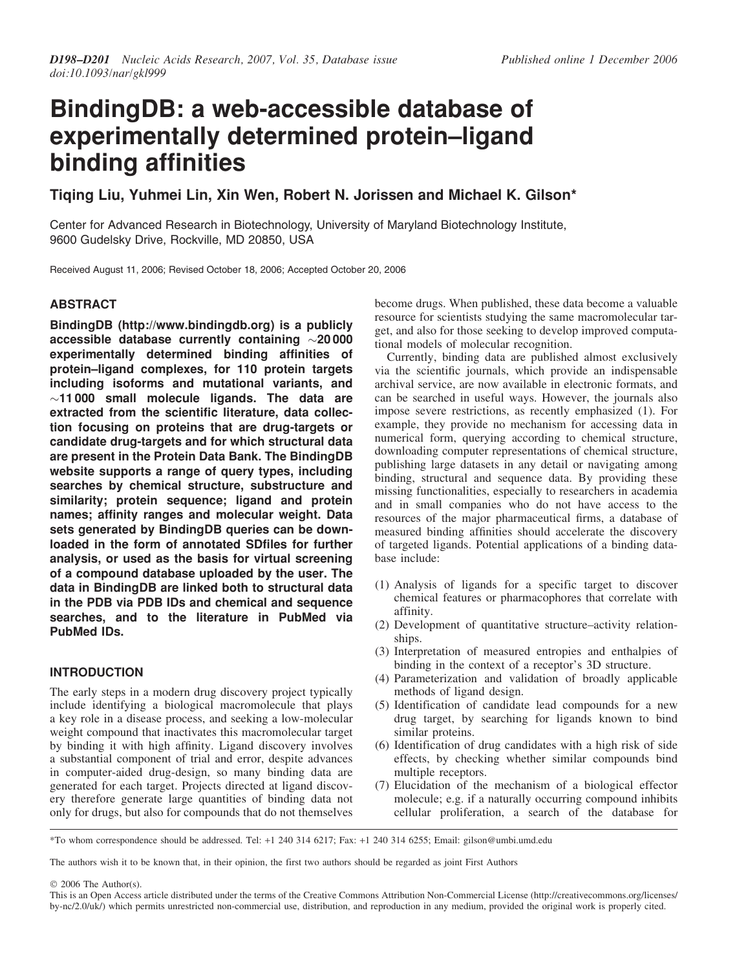# BindingDB: a web-accessible database of experimentally determined protein–ligand binding affinities

Tiqing Liu, Yuhmei Lin, Xin Wen, Robert N. Jorissen and Michael K. Gilson\*

Center for Advanced Research in Biotechnology, University of Maryland Biotechnology Institute, 9600 Gudelsky Drive, Rockville, MD 20850, USA

Received August 11, 2006; Revised October 18, 2006; Accepted October 20, 2006

# **ABSTRACT**

BindingDB (http://www.bindingdb.org) is a publicly accessible database currently containing  $\sim$ 20 000 experimentally determined binding affinities of protein–ligand complexes, for 110 protein targets including isoforms and mutational variants, and  $\sim$ 11000 small molecule ligands. The data are extracted from the scientific literature, data collection focusing on proteins that are drug-targets or candidate drug-targets and for which structural data are present in the Protein Data Bank. The BindingDB website supports a range of query types, including searches by chemical structure, substructure and similarity; protein sequence; ligand and protein names; affinity ranges and molecular weight. Data sets generated by BindingDB queries can be downloaded in the form of annotated SDfiles for further analysis, or used as the basis for virtual screening of a compound database uploaded by the user. The data in BindingDB are linked both to structural data in the PDB via PDB IDs and chemical and sequence searches, and to the literature in PubMed via PubMed IDs.

# INTRODUCTION

The early steps in a modern drug discovery project typically include identifying a biological macromolecule that plays a key role in a disease process, and seeking a low-molecular weight compound that inactivates this macromolecular target by binding it with high affinity. Ligand discovery involves a substantial component of trial and error, despite advances in computer-aided drug-design, so many binding data are generated for each target. Projects directed at ligand discovery therefore generate large quantities of binding data not only for drugs, but also for compounds that do not themselves

become drugs. When published, these data become a valuable resource for scientists studying the same macromolecular target, and also for those seeking to develop improved computational models of molecular recognition.

Currently, binding data are published almost exclusively via the scientific journals, which provide an indispensable archival service, are now available in electronic formats, and can be searched in useful ways. However, the journals also impose severe restrictions, as recently emphasized (1). For example, they provide no mechanism for accessing data in numerical form, querying according to chemical structure, downloading computer representations of chemical structure, publishing large datasets in any detail or navigating among binding, structural and sequence data. By providing these missing functionalities, especially to researchers in academia and in small companies who do not have access to the resources of the major pharmaceutical firms, a database of measured binding affinities should accelerate the discovery of targeted ligands. Potential applications of a binding database include:

- (1) Analysis of ligands for a specific target to discover chemical features or pharmacophores that correlate with affinity.
- (2) Development of quantitative structure–activity relationships.
- (3) Interpretation of measured entropies and enthalpies of binding in the context of a receptor's 3D structure.
- (4) Parameterization and validation of broadly applicable methods of ligand design.
- (5) Identification of candidate lead compounds for a new drug target, by searching for ligands known to bind similar proteins.
- (6) Identification of drug candidates with a high risk of side effects, by checking whether similar compounds bind multiple receptors.
- (7) Elucidation of the mechanism of a biological effector molecule; e.g. if a naturally occurring compound inhibits cellular proliferation, a search of the database for

2006 The Author(s).

<sup>\*</sup>To whom correspondence should be addressed. Tel: +1 240 314 6217; Fax: +1 240 314 6255; Email: gilson@umbi.umd.edu

The authors wish it to be known that, in their opinion, the first two authors should be regarded as joint First Authors

This is an Open Access article distributed under the terms of the Creative Commons Attribution Non-Commercial License (http://creativecommons.org/licenses/ by-nc/2.0/uk/) which permits unrestricted non-commercial use, distribution, and reproduction in any medium, provided the original work is properly cited.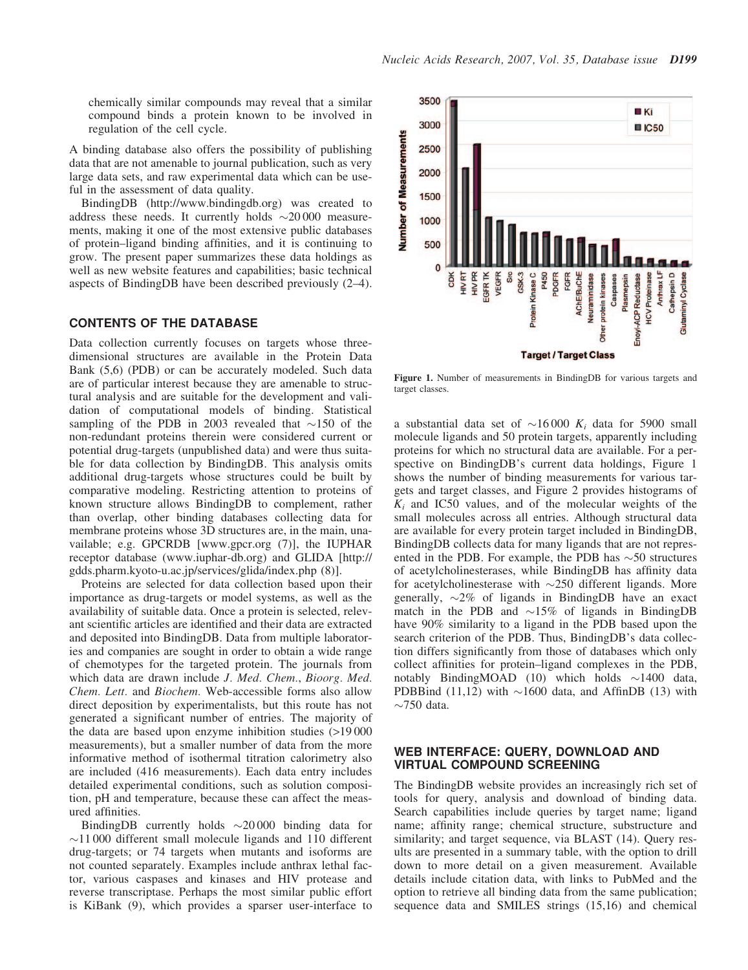chemically similar compounds may reveal that a similar compound binds a protein known to be involved in regulation of the cell cycle.

A binding database also offers the possibility of publishing data that are not amenable to journal publication, such as very large data sets, and raw experimental data which can be useful in the assessment of data quality.

BindingDB (http://www.bindingdb.org) was created to address these needs. It currently holds  $\sim$ 20000 measurements, making it one of the most extensive public databases of protein–ligand binding affinities, and it is continuing to grow. The present paper summarizes these data holdings as well as new website features and capabilities; basic technical aspects of BindingDB have been described previously (2–4).

## CONTENTS OF THE DATABASE

Data collection currently focuses on targets whose threedimensional structures are available in the Protein Data Bank (5,6) (PDB) or can be accurately modeled. Such data are of particular interest because they are amenable to structural analysis and are suitable for the development and validation of computational models of binding. Statistical sampling of the PDB in 2003 revealed that  $\sim$ 150 of the non-redundant proteins therein were considered current or potential drug-targets (unpublished data) and were thus suitable for data collection by BindingDB. This analysis omits additional drug-targets whose structures could be built by comparative modeling. Restricting attention to proteins of known structure allows BindingDB to complement, rather than overlap, other binding databases collecting data for membrane proteins whose 3D structures are, in the main, unavailable; e.g. GPCRDB [www.gpcr.org (7)], the IUPHAR receptor database (www.iuphar-db.org) and GLIDA [http:// gdds.pharm.kyoto-u.ac.jp/services/glida/index.php (8)].

Proteins are selected for data collection based upon their importance as drug-targets or model systems, as well as the availability of suitable data. Once a protein is selected, relevant scientific articles are identified and their data are extracted and deposited into BindingDB. Data from multiple laboratories and companies are sought in order to obtain a wide range of chemotypes for the targeted protein. The journals from which data are drawn include J. Med. Chem., Bioorg. Med. Chem. Lett. and Biochem. Web-accessible forms also allow direct deposition by experimentalists, but this route has not generated a significant number of entries. The majority of the data are based upon enzyme inhibition studies (>19 000 measurements), but a smaller number of data from the more informative method of isothermal titration calorimetry also are included (416 measurements). Each data entry includes detailed experimental conditions, such as solution composition, pH and temperature, because these can affect the measured affinities.

BindingDB currently holds  $\sim$  20 000 binding data for  $\sim$ 11000 different small molecule ligands and 110 different drug-targets; or 74 targets when mutants and isoforms are not counted separately. Examples include anthrax lethal factor, various caspases and kinases and HIV protease and reverse transcriptase. Perhaps the most similar public effort is KiBank (9), which provides a sparser user-interface to



Figure 1. Number of measurements in BindingDB for various targets and target classes.

a substantial data set of  $\sim 16000 K_i$  data for 5900 small molecule ligands and 50 protein targets, apparently including proteins for which no structural data are available. For a perspective on BindingDB's current data holdings, Figure 1 shows the number of binding measurements for various targets and target classes, and Figure 2 provides histograms of  $K_i$  and IC50 values, and of the molecular weights of the small molecules across all entries. Although structural data are available for every protein target included in BindingDB, BindingDB collects data for many ligands that are not represented in the PDB. For example, the PDB has  $\sim$  50 structures of acetylcholinesterases, while BindingDB has affinity data for acetylcholinesterase with  $\sim$ 250 different ligands. More generally,  $\sim$ 2% of ligands in BindingDB have an exact match in the PDB and  $\sim 15\%$  of ligands in BindingDB have 90% similarity to a ligand in the PDB based upon the search criterion of the PDB. Thus, BindingDB's data collection differs significantly from those of databases which only collect affinities for protein–ligand complexes in the PDB, notably BindingMOAD (10) which holds  $\sim$ 1400 data, PDBBind (11,12) with  $\sim$ 1600 data, and AffinDB (13) with  $\sim$ 750 data.

## WEB INTERFACE: QUERY, DOWNLOAD AND VIRTUAL COMPOUND SCREENING

The BindingDB website provides an increasingly rich set of tools for query, analysis and download of binding data. Search capabilities include queries by target name; ligand name; affinity range; chemical structure, substructure and similarity; and target sequence, via BLAST (14). Query results are presented in a summary table, with the option to drill down to more detail on a given measurement. Available details include citation data, with links to PubMed and the option to retrieve all binding data from the same publication; sequence data and SMILES strings (15,16) and chemical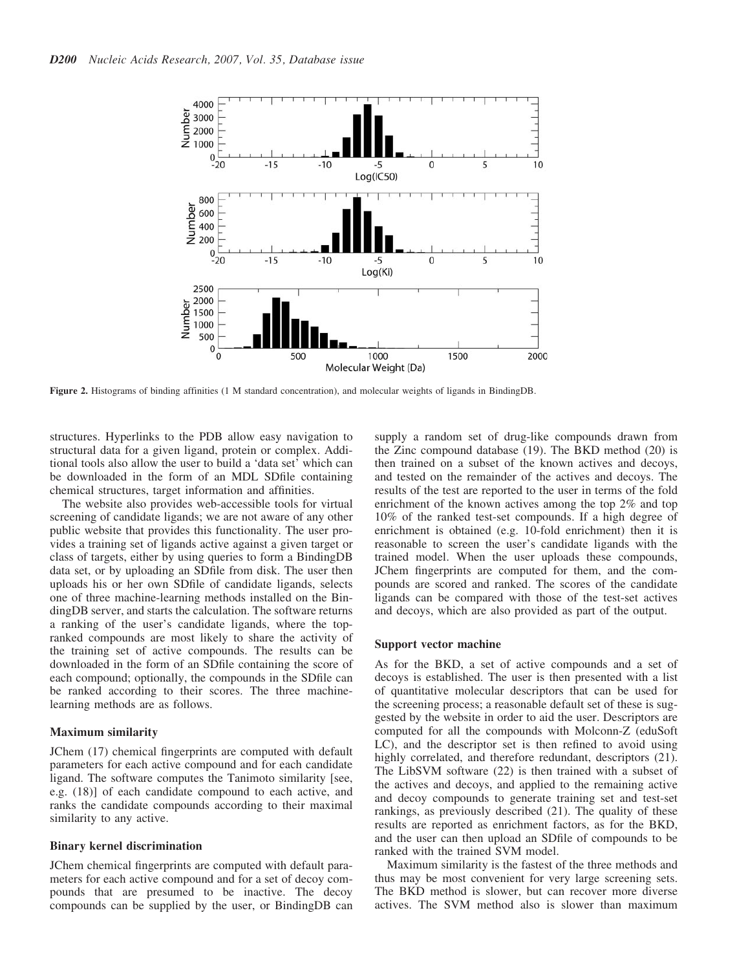

Figure 2. Histograms of binding affinities (1 M standard concentration), and molecular weights of ligands in BindingDB.

structures. Hyperlinks to the PDB allow easy navigation to structural data for a given ligand, protein or complex. Additional tools also allow the user to build a 'data set' which can be downloaded in the form of an MDL SDfile containing chemical structures, target information and affinities.

The website also provides web-accessible tools for virtual screening of candidate ligands; we are not aware of any other public website that provides this functionality. The user provides a training set of ligands active against a given target or class of targets, either by using queries to form a BindingDB data set, or by uploading an SDfile from disk. The user then uploads his or her own SDfile of candidate ligands, selects one of three machine-learning methods installed on the BindingDB server, and starts the calculation. The software returns a ranking of the user's candidate ligands, where the topranked compounds are most likely to share the activity of the training set of active compounds. The results can be downloaded in the form of an SDfile containing the score of each compound; optionally, the compounds in the SDfile can be ranked according to their scores. The three machinelearning methods are as follows.

## Maximum similarity

JChem (17) chemical fingerprints are computed with default parameters for each active compound and for each candidate ligand. The software computes the Tanimoto similarity [see, e.g. (18)] of each candidate compound to each active, and ranks the candidate compounds according to their maximal similarity to any active.

#### Binary kernel discrimination

JChem chemical fingerprints are computed with default parameters for each active compound and for a set of decoy compounds that are presumed to be inactive. The decoy compounds can be supplied by the user, or BindingDB can supply a random set of drug-like compounds drawn from the Zinc compound database (19). The BKD method (20) is then trained on a subset of the known actives and decoys, and tested on the remainder of the actives and decoys. The results of the test are reported to the user in terms of the fold enrichment of the known actives among the top 2% and top 10% of the ranked test-set compounds. If a high degree of enrichment is obtained (e.g. 10-fold enrichment) then it is reasonable to screen the user's candidate ligands with the trained model. When the user uploads these compounds, JChem fingerprints are computed for them, and the compounds are scored and ranked. The scores of the candidate ligands can be compared with those of the test-set actives and decoys, which are also provided as part of the output.

#### Support vector machine

As for the BKD, a set of active compounds and a set of decoys is established. The user is then presented with a list of quantitative molecular descriptors that can be used for the screening process; a reasonable default set of these is suggested by the website in order to aid the user. Descriptors are computed for all the compounds with Molconn-Z (eduSoft LC), and the descriptor set is then refined to avoid using highly correlated, and therefore redundant, descriptors  $(21)$ . The LibSVM software (22) is then trained with a subset of the actives and decoys, and applied to the remaining active and decoy compounds to generate training set and test-set rankings, as previously described (21). The quality of these results are reported as enrichment factors, as for the BKD, and the user can then upload an SDfile of compounds to be ranked with the trained SVM model.

Maximum similarity is the fastest of the three methods and thus may be most convenient for very large screening sets. The BKD method is slower, but can recover more diverse actives. The SVM method also is slower than maximum